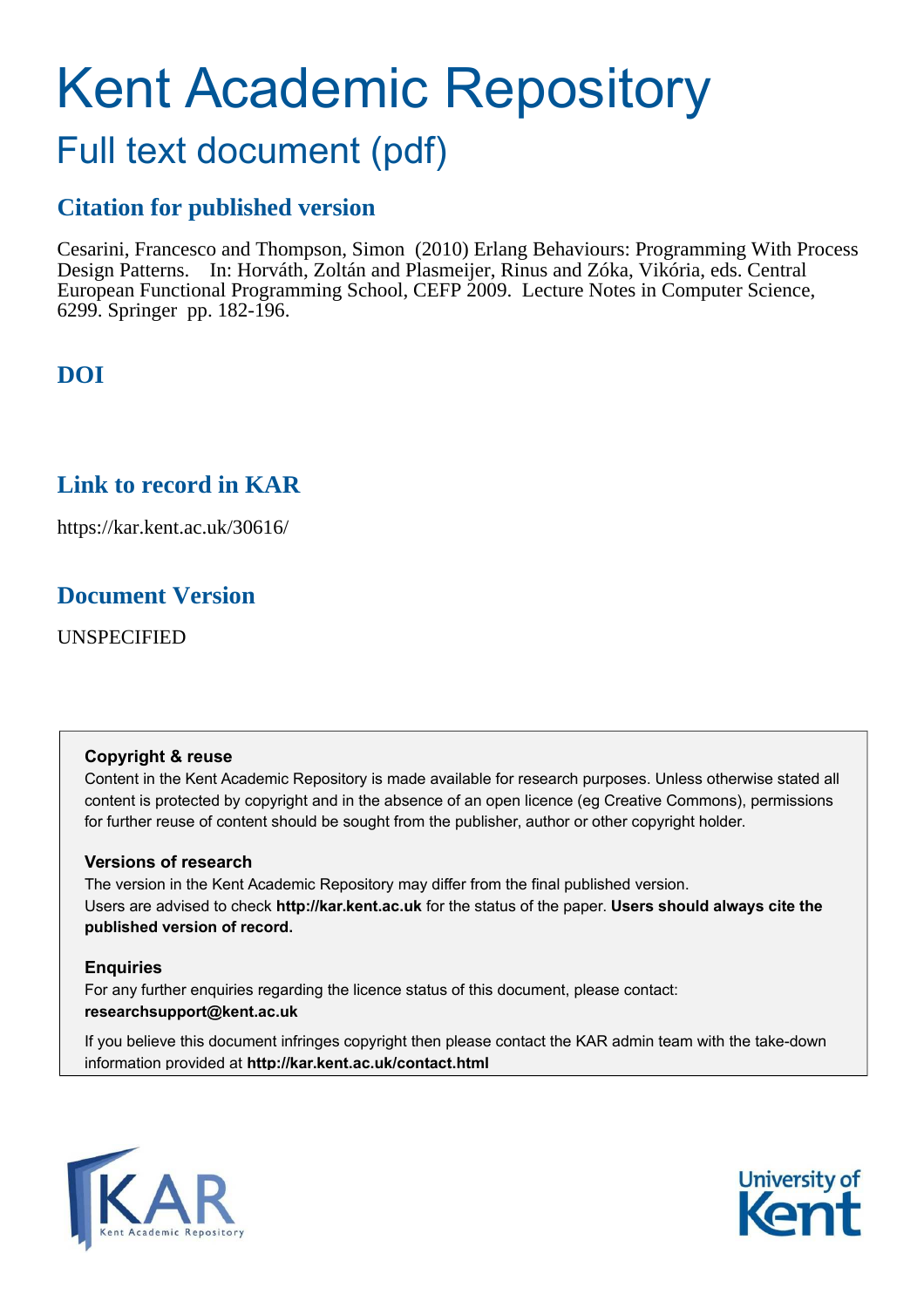# Kent Academic Repository

## Full text document (pdf)

## **Citation for published version**

Cesarini, Francesco and Thompson, Simon (2010) Erlang Behaviours: Programming With Process Design Patterns. In: Horváth, Zoltán and Plasmeijer, Rinus and Zóka, Vikória, eds. Central European Functional Programming School, CEFP 2009. Lecture Notes in Computer Science, 6299. Springer pp. 182-196.

## **DOI**

## **Link to record in KAR**

https://kar.kent.ac.uk/30616/

## **Document Version**

UNSPECIFIED

#### **Copyright & reuse**

Content in the Kent Academic Repository is made available for research purposes. Unless otherwise stated all content is protected by copyright and in the absence of an open licence (eg Creative Commons), permissions for further reuse of content should be sought from the publisher, author or other copyright holder.

#### **Versions of research**

The version in the Kent Academic Repository may differ from the final published version. Users are advised to check **http://kar.kent.ac.uk** for the status of the paper. **Users should always cite the published version of record.**

#### **Enquiries**

For any further enquiries regarding the licence status of this document, please contact: **researchsupport@kent.ac.uk**

If you believe this document infringes copyright then please contact the KAR admin team with the take-down information provided at **http://kar.kent.ac.uk/contact.html**



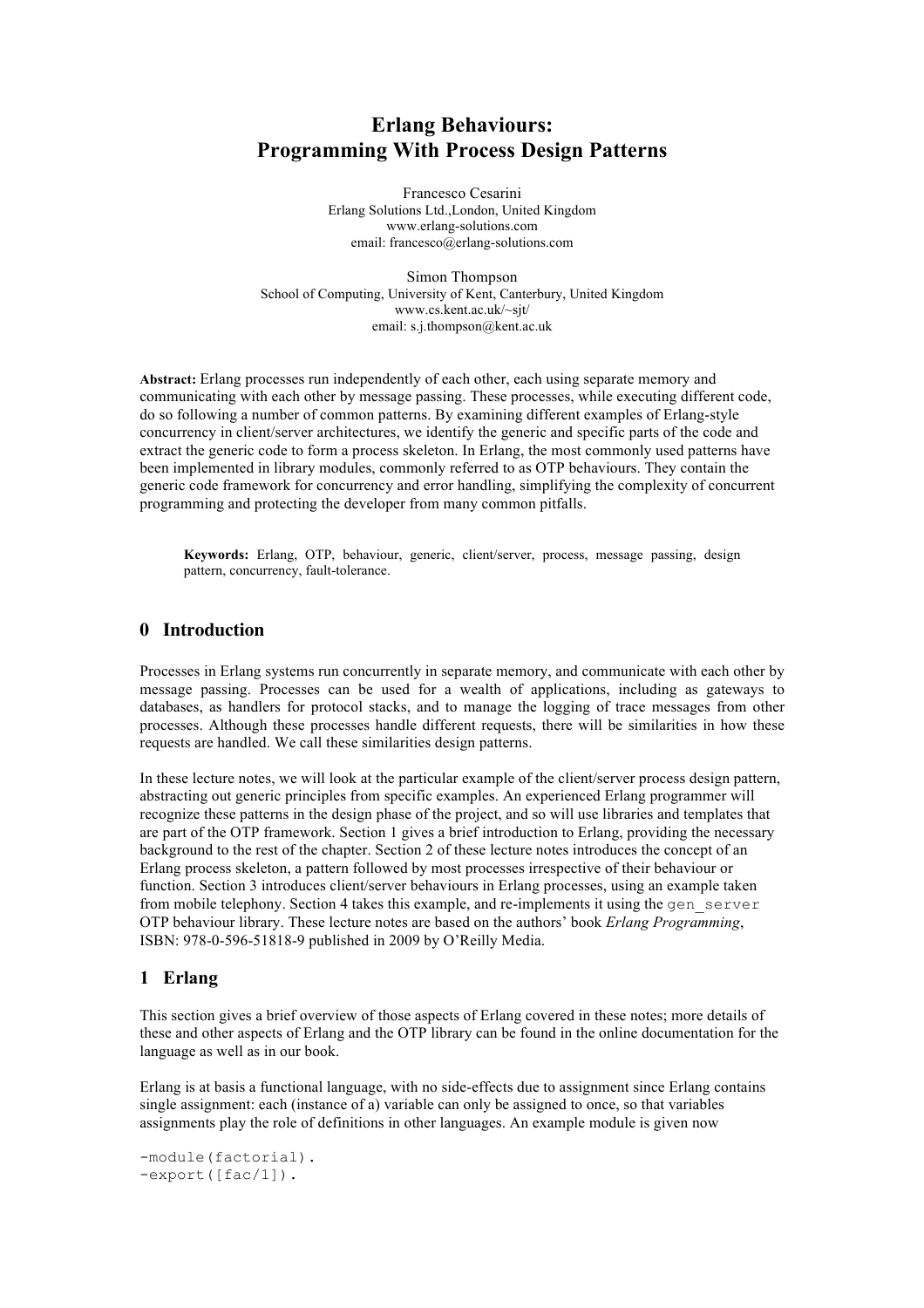#### **Erlang Behaviours: Programming With Process Design Patterns**

Francesco Cesarini Erlang Solutions Ltd.,London, United Kingdom www.erlang-solutions.com email: francesco@erlang-solutions.com

Simon Thompson School of Computing, University of Kent, Canterbury, United Kingdom www.cs.kent.ac.uk/~sjt/ email: s.j.thompson@kent.ac.uk

**Abstract:** Erlang processes run independently of each other, each using separate memory and communicating with each other by message passing. These processes, while executing different code, do so following a number of common patterns. By examining different examples of Erlang-style concurrency in client/server architectures, we identify the generic and specific parts of the code and extract the generic code to form a process skeleton. In Erlang, the most commonly used patterns have been implemented in library modules, commonly referred to as OTP behaviours. They contain the generic code framework for concurrency and error handling, simplifying the complexity of concurrent programming and protecting the developer from many common pitfalls.

**Keywords:** Erlang, OTP, behaviour, generic, client/server, process, message passing, design pattern, concurrency, fault-tolerance.

#### **0 Introduction**

Processes in Erlang systems run concurrently in separate memory, and communicate with each other by message passing. Processes can be used for a wealth of applications, including as gateways to databases, as handlers for protocol stacks, and to manage the logging of trace messages from other processes. Although these processes handle different requests, there will be similarities in how these requests are handled. We call these similarities design patterns.

In these lecture notes, we will look at the particular example of the client/server process design pattern, abstracting out generic principles from specific examples. An experienced Erlang programmer will recognize these patterns in the design phase of the project, and so will use libraries and templates that are part of the OTP framework. Section 1 gives a brief introduction to Erlang, providing the necessary background to the rest of the chapter. Section 2 of these lecture notes introduces the concept of an Erlang process skeleton, a pattern followed by most processes irrespective of their behaviour or function. Section 3 introduces client/server behaviours in Erlang processes, using an example taken from mobile telephony. Section 4 takes this example, and re-implements it using the gen\_server OTP behaviour library. These lecture notes are based on the authors' book *Erlang Programming*, ISBN: 978-0-596-51818-9 published in 2009 by O'Reilly Media.

#### **1 Erlang**

This section gives a brief overview of those aspects of Erlang covered in these notes; more details of these and other aspects of Erlang and the OTP library can be found in the online documentation for the language as well as in our book.

Erlang is at basis a functional language, with no side-effects due to assignment since Erlang contains single assignment: each (instance of a) variable can only be assigned to once, so that variables assignments play the role of definitions in other languages. An example module is given now

```
-module(factorial).
-export([fac/1]).
```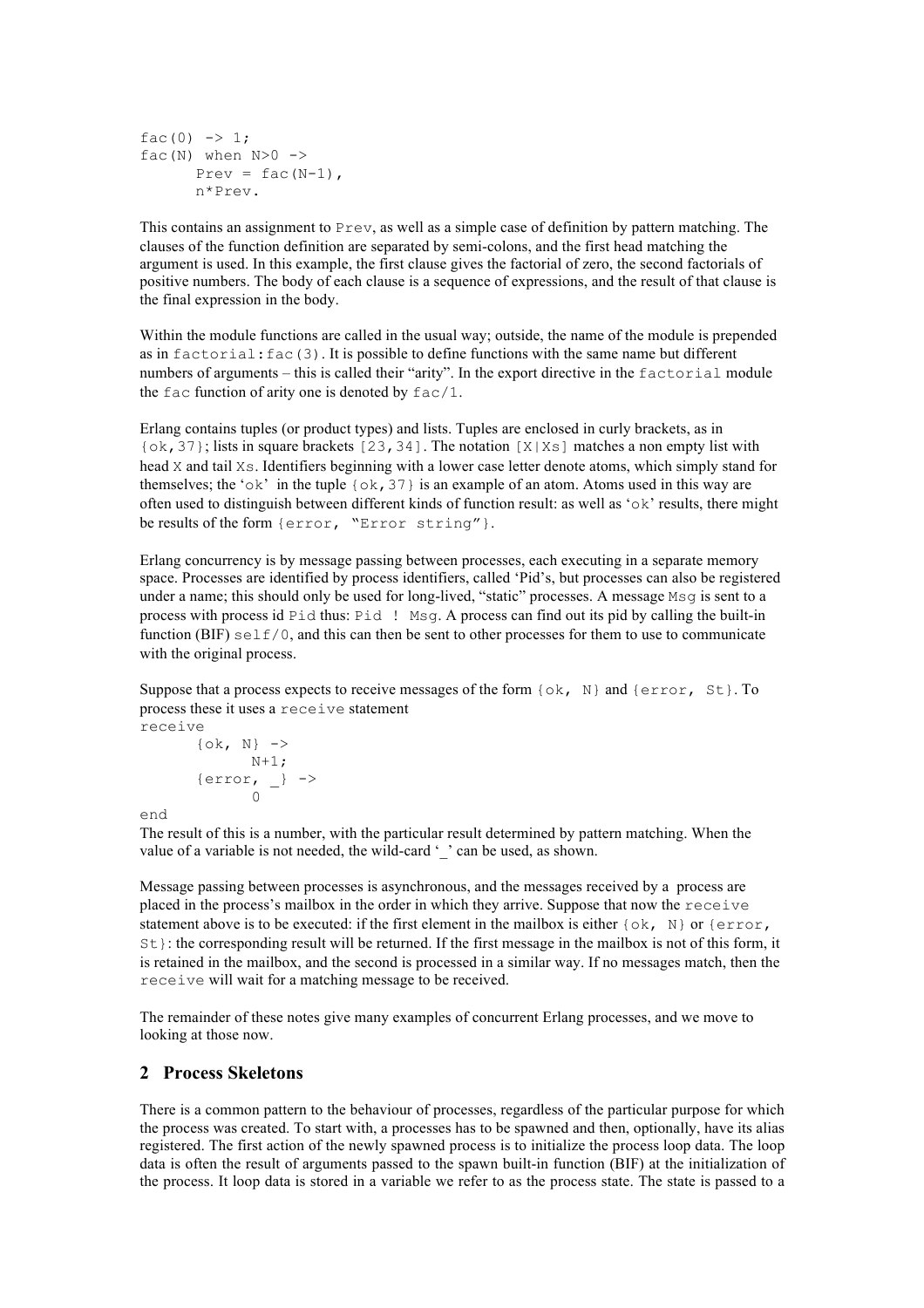```
fac(0) -> 1;
fac(N) when N>0 ->
      Prev = fac(N-1),
      n*Prev.
```
This contains an assignment to Prev, as well as a simple case of definition by pattern matching. The clauses of the function definition are separated by semi-colons, and the first head matching the argument is used. In this example, the first clause gives the factorial of zero, the second factorials of positive numbers. The body of each clause is a sequence of expressions, and the result of that clause is the final expression in the body.

Within the module functions are called in the usual way; outside, the name of the module is prepended as in factorial:fac(3). It is possible to define functions with the same name but different numbers of arguments – this is called their "arity". In the export directive in the factorial module the fac function of arity one is denoted by fac/1.

Erlang contains tuples (or product types) and lists. Tuples are enclosed in curly brackets, as in  $\{\infty, 37\}$ ; lists in square brackets [23,34]. The notation [X|Xs] matches a non empty list with head X and tail Xs. Identifiers beginning with a lower case letter denote atoms, which simply stand for themselves; the ' $\circ$ k' in the tuple { $\circ$ k, 37} is an example of an atom. Atoms used in this way are often used to distinguish between different kinds of function result: as well as 'ok' results, there might be results of the form {error, "Error string"}.

Erlang concurrency is by message passing between processes, each executing in a separate memory space. Processes are identified by process identifiers, called 'Pid's, but processes can also be registered under a name; this should only be used for long-lived, "static" processes. A message Msg is sent to a process with process id Pid thus: Pid ! Msg. A process can find out its pid by calling the built-in function (BIF)  $\text{self}/0$ , and this can then be sent to other processes for them to use to communicate with the original process.

Suppose that a process expects to receive messages of the form  $\{\circ k, N\}$  and  $\{\text{error}, s_t\}$ . To process these it uses a receive statement

```
receive
```

```
\{ \circ k, N \} ->
          N+1;
{error, -} \rightarrow0
```
end

The result of this is a number, with the particular result determined by pattern matching. When the value of a variable is not needed, the wild-card '\_' can be used, as shown.

Message passing between processes is asynchronous, and the messages received by a process are placed in the process's mailbox in the order in which they arrive. Suppose that now the receive statement above is to be executed: if the first element in the mailbox is either  $\{\circ \mathsf{k}, \mathsf{N}\}\$  or  $\{\in \text{rror}, \mathsf{S}\}$ St}: the corresponding result will be returned. If the first message in the mailbox is not of this form, it is retained in the mailbox, and the second is processed in a similar way. If no messages match, then the receive will wait for a matching message to be received.

The remainder of these notes give many examples of concurrent Erlang processes, and we move to looking at those now.

#### **2 Process Skeletons**

There is a common pattern to the behaviour of processes, regardless of the particular purpose for which the process was created. To start with, a processes has to be spawned and then, optionally, have its alias registered. The first action of the newly spawned process is to initialize the process loop data. The loop data is often the result of arguments passed to the spawn built-in function (BIF) at the initialization of the process. It loop data is stored in a variable we refer to as the process state. The state is passed to a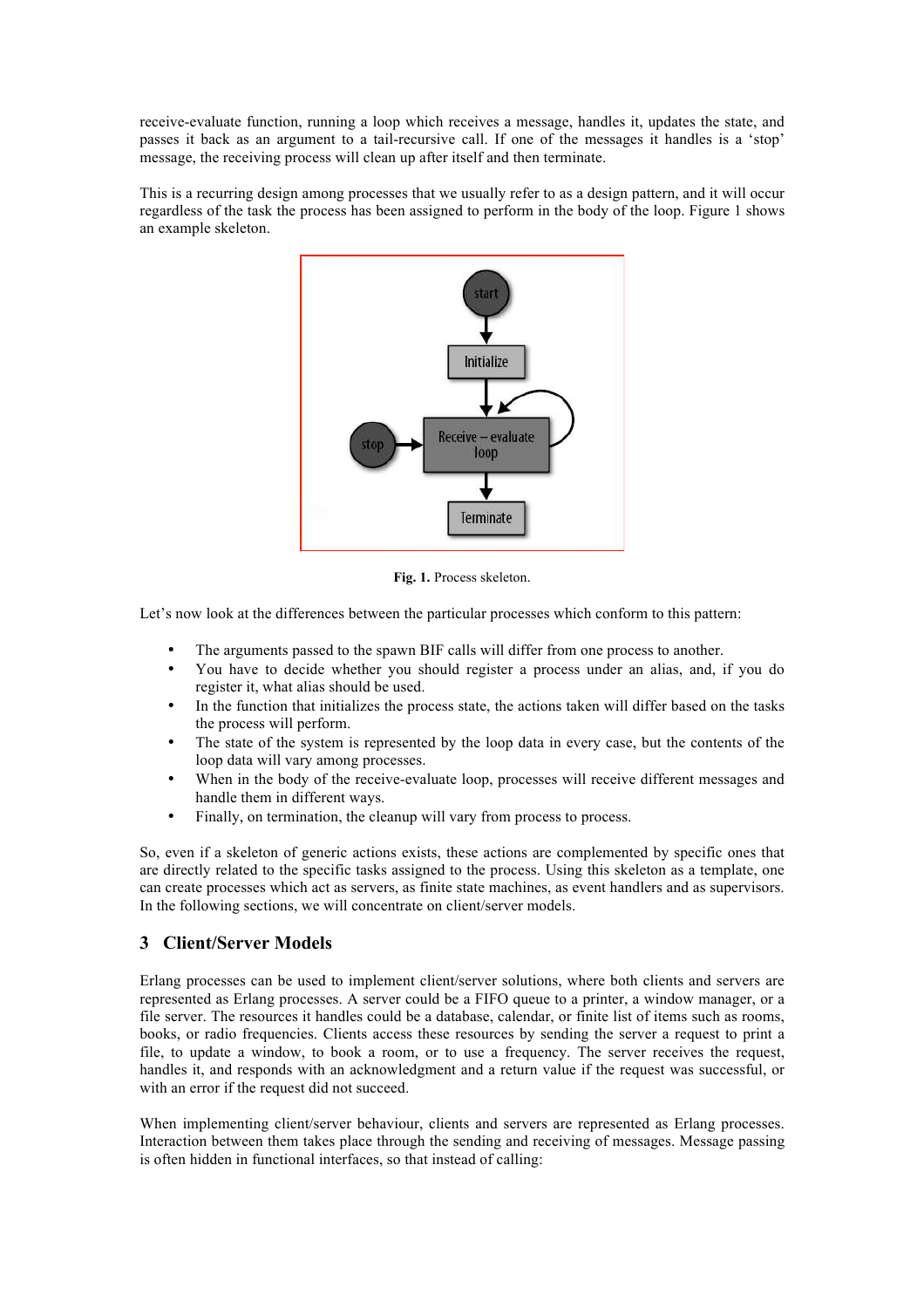receive-evaluate function, running a loop which receives a message, handles it, updates the state, and passes it back as an argument to a tail-recursive call. If one of the messages it handles is a 'stop' message, the receiving process will clean up after itself and then terminate.

This is a recurring design among processes that we usually refer to as a design pattern, and it will occur regardless of the task the process has been assigned to perform in the body of the loop. Figure 1 shows an example skeleton.



**Fig. 1.** Process skeleton.

Let's now look at the differences between the particular processes which conform to this pattern:

- The arguments passed to the spawn BIF calls will differ from one process to another.
- ¥ You have to decide whether you should register a process under an alias, and, if you do register it, what alias should be used.
- In the function that initializes the process state, the actions taken will differ based on the tasks the process will perform.
- The state of the system is represented by the loop data in every case, but the contents of the loop data will vary among processes.
- When in the body of the receive-evaluate loop, processes will receive different messages and handle them in different ways.
- Finally, on termination, the cleanup will vary from process to process.

So, even if a skeleton of generic actions exists, these actions are complemented by specific ones that are directly related to the specific tasks assigned to the process. Using this skeleton as a template, one can create processes which act as servers, as finite state machines, as event handlers and as supervisors. In the following sections, we will concentrate on client/server models.

#### **3 Client/Server Models**

Erlang processes can be used to implement client/server solutions, where both clients and servers are represented as Erlang processes. A server could be a FIFO queue to a printer, a window manager, or a file server. The resources it handles could be a database, calendar, or finite list of items such as rooms, books, or radio frequencies. Clients access these resources by sending the server a request to print a file, to update a window, to book a room, or to use a frequency. The server receives the request, handles it, and responds with an acknowledgment and a return value if the request was successful, or with an error if the request did not succeed.

When implementing client/server behaviour, clients and servers are represented as Erlang processes. Interaction between them takes place through the sending and receiving of messages. Message passing is often hidden in functional interfaces, so that instead of calling: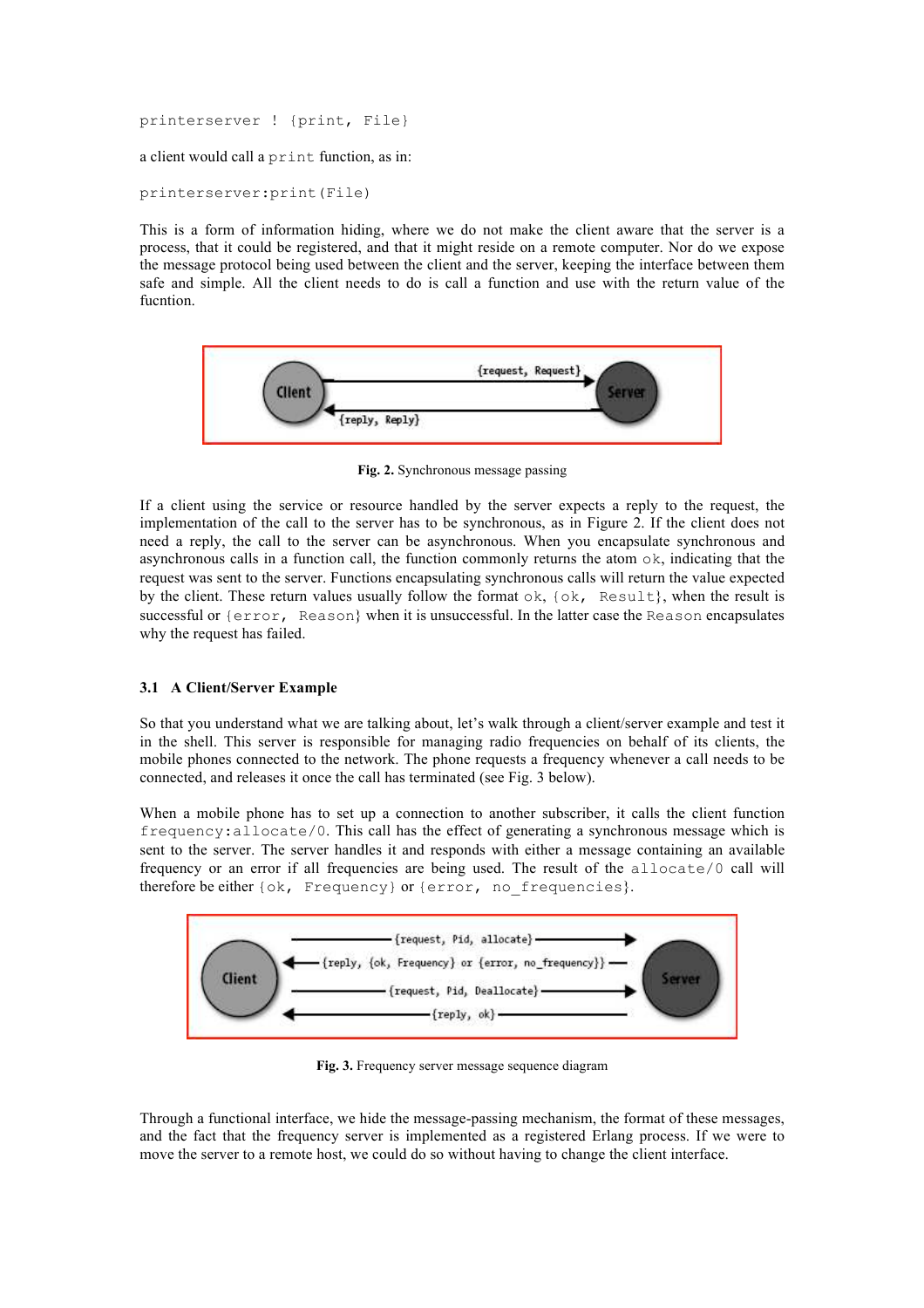```
printerserver ! {print, File}
```
a client would call a print function, as in:

```
printerserver:print(File)
```
This is a form of information hiding, where we do not make the client aware that the server is a process, that it could be registered, and that it might reside on a remote computer. Nor do we expose the message protocol being used between the client and the server, keeping the interface between them safe and simple. All the client needs to do is call a function and use with the return value of the fucntion.



**Fig. 2.** Synchronous message passing

If a client using the service or resource handled by the server expects a reply to the request, the implementation of the call to the server has to be synchronous, as in Figure 2. If the client does not need a reply, the call to the server can be asynchronous. When you encapsulate synchronous and asynchronous calls in a function call, the function commonly returns the atom  $\circ$ k, indicating that the request was sent to the server. Functions encapsulating synchronous calls will return the value expected by the client. These return values usually follow the format  $\circ k$ ,  $\{\circ k$ , Result), when the result is successful or {error, Reason} when it is unsuccessful. In the latter case the Reason encapsulates why the request has failed.

#### **3.1 A Client/Server Example**

So that you understand what we are talking about, let's walk through a client/server example and test it in the shell. This server is responsible for managing radio frequencies on behalf of its clients, the mobile phones connected to the network. The phone requests a frequency whenever a call needs to be connected, and releases it once the call has terminated (see Fig. 3 below).

When a mobile phone has to set up a connection to another subscriber, it calls the client function frequency:allocate/0. This call has the effect of generating a synchronous message which is sent to the server. The server handles it and responds with either a message containing an available frequency or an error if all frequencies are being used. The result of the allocate/0 call will therefore be either {ok, Frequency} or {error, no frequencies}.



**Fig. 3.** Frequency server message sequence diagram

Through a functional interface, we hide the message-passing mechanism, the format of these messages, and the fact that the frequency server is implemented as a registered Erlang process. If we were to move the server to a remote host, we could do so without having to change the client interface.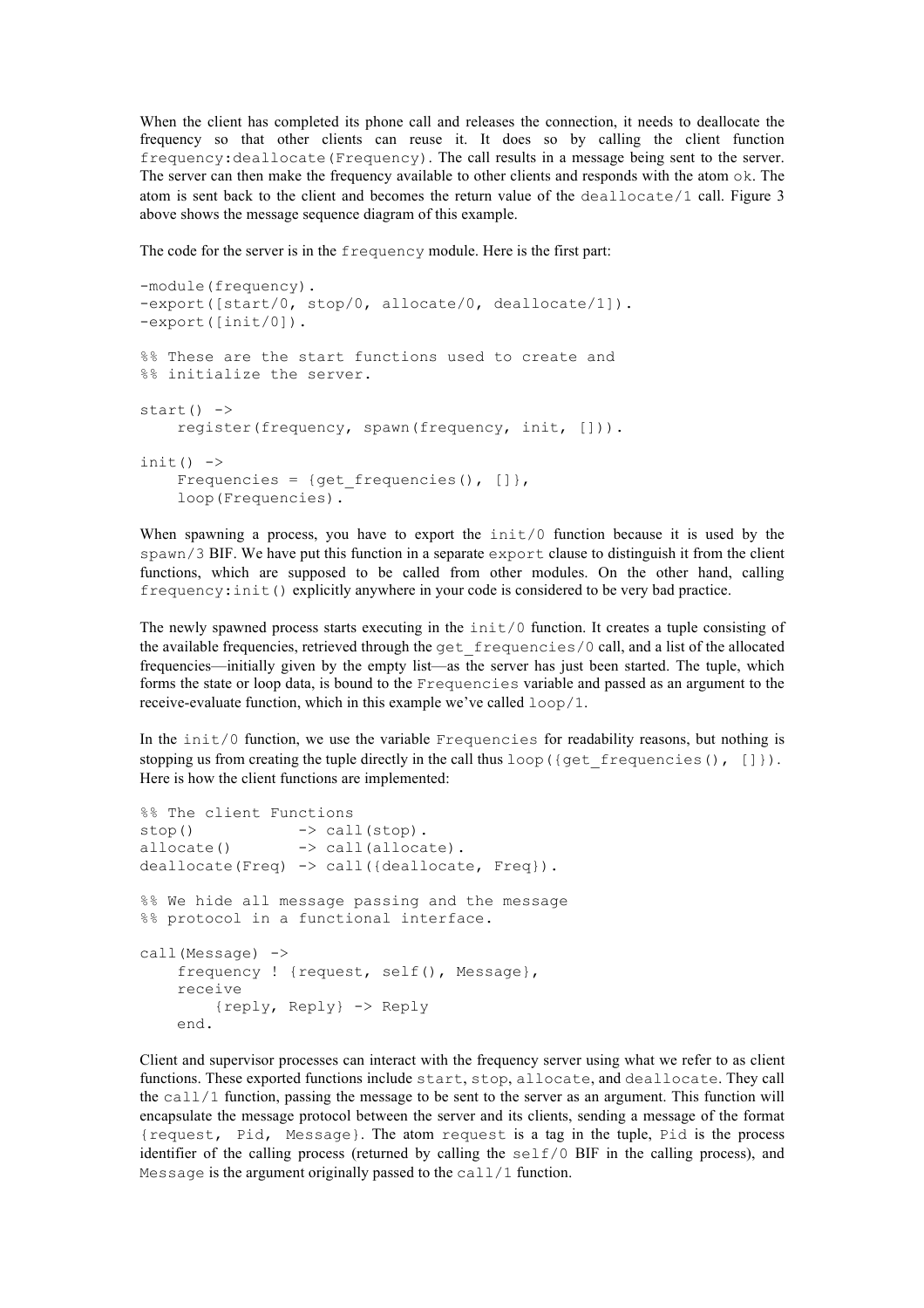When the client has completed its phone call and releases the connection, it needs to deallocate the frequency so that other clients can reuse it. It does so by calling the client function frequency:deallocate(Frequency). The call results in a message being sent to the server. The server can then make the frequency available to other clients and responds with the atom ok. The atom is sent back to the client and becomes the return value of the deallocate/1 call. Figure 3 above shows the message sequence diagram of this example.

The code for the server is in the frequency module. Here is the first part:

```
-module(frequency).
-export([start/0, stop/0, allocate/0, deallocate/1]).
-export([init/0]).
%% These are the start functions used to create and
%% initialize the server.
start() \rightarrow register(frequency, spawn(frequency, init, [])).
init() ->
    Frequencies = {get frequencies(), []},
     loop(Frequencies).
```
When spawning a process, you have to export the init/0 function because it is used by the spawn/3 BIF. We have put this function in a separate export clause to distinguish it from the client functions, which are supposed to be called from other modules. On the other hand, calling frequency: init () explicitly anywhere in your code is considered to be very bad practice.

The newly spawned process starts executing in the init/0 function. It creates a tuple consisting of the available frequencies, retrieved through the get\_frequencies/0 call, and a list of the allocated frequencies—initially given by the empty list—as the server has just been started. The tuple, which forms the state or loop data, is bound to the Frequencies variable and passed as an argument to the receive-evaluate function, which in this example we've called  $\log(1.1)$ 

In the init/0 function, we use the variable Frequencies for readability reasons, but nothing is stopping us from creating the tuple directly in the call thus  $loop($  {get frequencies(), []}). Here is how the client functions are implemented:

```
%% The client Functions 
stop() \rightarrow call(stop).
allocate() -> call(allocate).
deallocate(Freq) -> call({deallocate, Freq}). 
%% We hide all message passing and the message
%% protocol in a functional interface.
call(Message) ->
     frequency ! {request, self(), Message},
     receive
         {reply, Reply} -> Reply
     end.
```
Client and supervisor processes can interact with the frequency server using what we refer to as client functions. These exported functions include start, stop, allocate, and deallocate. They call the call/1 function, passing the message to be sent to the server as an argument. This function will encapsulate the message protocol between the server and its clients, sending a message of the format {request, Pid, Message}. The atom request is a tag in the tuple, Pid is the process identifier of the calling process (returned by calling the self/0 BIF in the calling process), and Message is the argument originally passed to the call/1 function.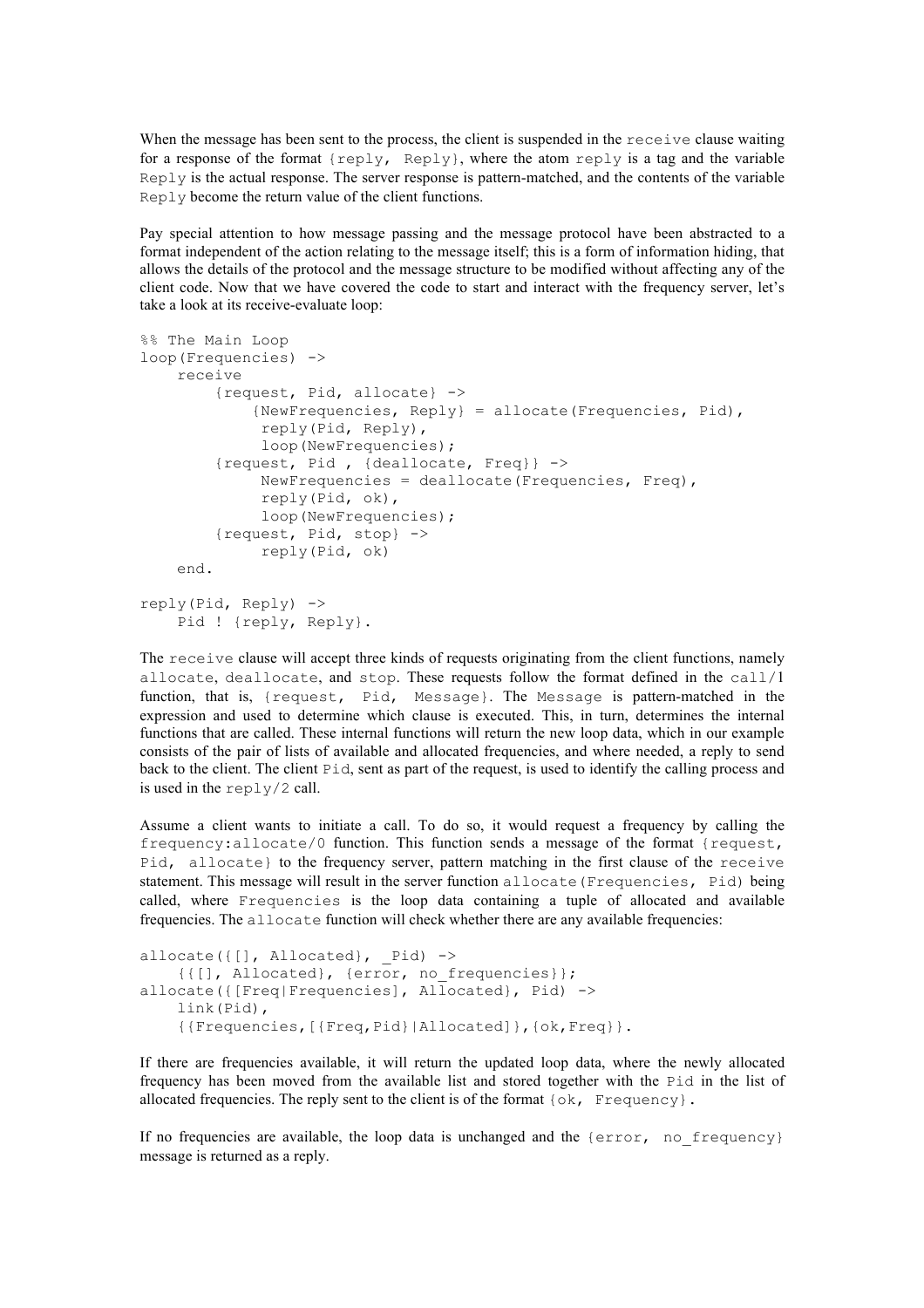When the message has been sent to the process, the client is suspended in the receive clause waiting for a response of the format {reply, Reply}, where the atom reply is a tag and the variable Reply is the actual response. The server response is pattern-matched, and the contents of the variable Reply become the return value of the client functions.

Pay special attention to how message passing and the message protocol have been abstracted to a format independent of the action relating to the message itself; this is a form of information hiding, that allows the details of the protocol and the message structure to be modified without affecting any of the client code. Now that we have covered the code to start and interact with the frequency server, let's take a look at its receive-evaluate loop:

```
%% The Main Loop 
loop(Frequencies) ->
     receive
         {request, Pid, allocate} ->
              {NewFrequencies, Reply} = allocate(Frequencies, Pid),
               reply(Pid, Reply),
              loop(NewFrequencies);
         {request, Pid , {deallocate, Freq}} ->
              NewFrequencies = deallocate(Frequencies, Freq),
              reply(Pid, ok),
              loop(NewFrequencies);
         {request, Pid, stop} ->
              reply(Pid, ok)
     end. 
reply(Pid, Reply) ->
     Pid ! {reply, Reply}.
```
The receive clause will accept three kinds of requests originating from the client functions, namely allocate, deallocate, and stop. These requests follow the format defined in the call/ $1$ function, that is, {request, Pid, Message}. The Message is pattern-matched in the expression and used to determine which clause is executed. This, in turn, determines the internal functions that are called. These internal functions will return the new loop data, which in our example consists of the pair of lists of available and allocated frequencies, and where needed, a reply to send back to the client. The client Pid, sent as part of the request, is used to identify the calling process and is used in the reply/2 call.

Assume a client wants to initiate a call. To do so, it would request a frequency by calling the frequency:allocate/0 function. This function sends a message of the format {request, Pid, allocate} to the frequency server, pattern matching in the first clause of the receive statement. This message will result in the server function allocate(Frequencies, Pid) being called, where Frequencies is the loop data containing a tuple of allocated and available frequencies. The allocate function will check whether there are any available frequencies:

```
allocate({[], Allocated}, Pid) ->
     {{[], Allocated}, {error, no_frequencies}};
allocate({[Freq|Frequencies], Allocated}, Pid) ->
     link(Pid),
     {{Frequencies,[{Freq,Pid}|Allocated]},{ok,Freq}}.
```
If there are frequencies available, it will return the updated loop data, where the newly allocated frequency has been moved from the available list and stored together with the Pid in the list of allocated frequencies. The reply sent to the client is of the format  $\{ok, Frequency\}$ .

If no frequencies are available, the loop data is unchanged and the  $\{error, no frequency\}$ message is returned as a reply.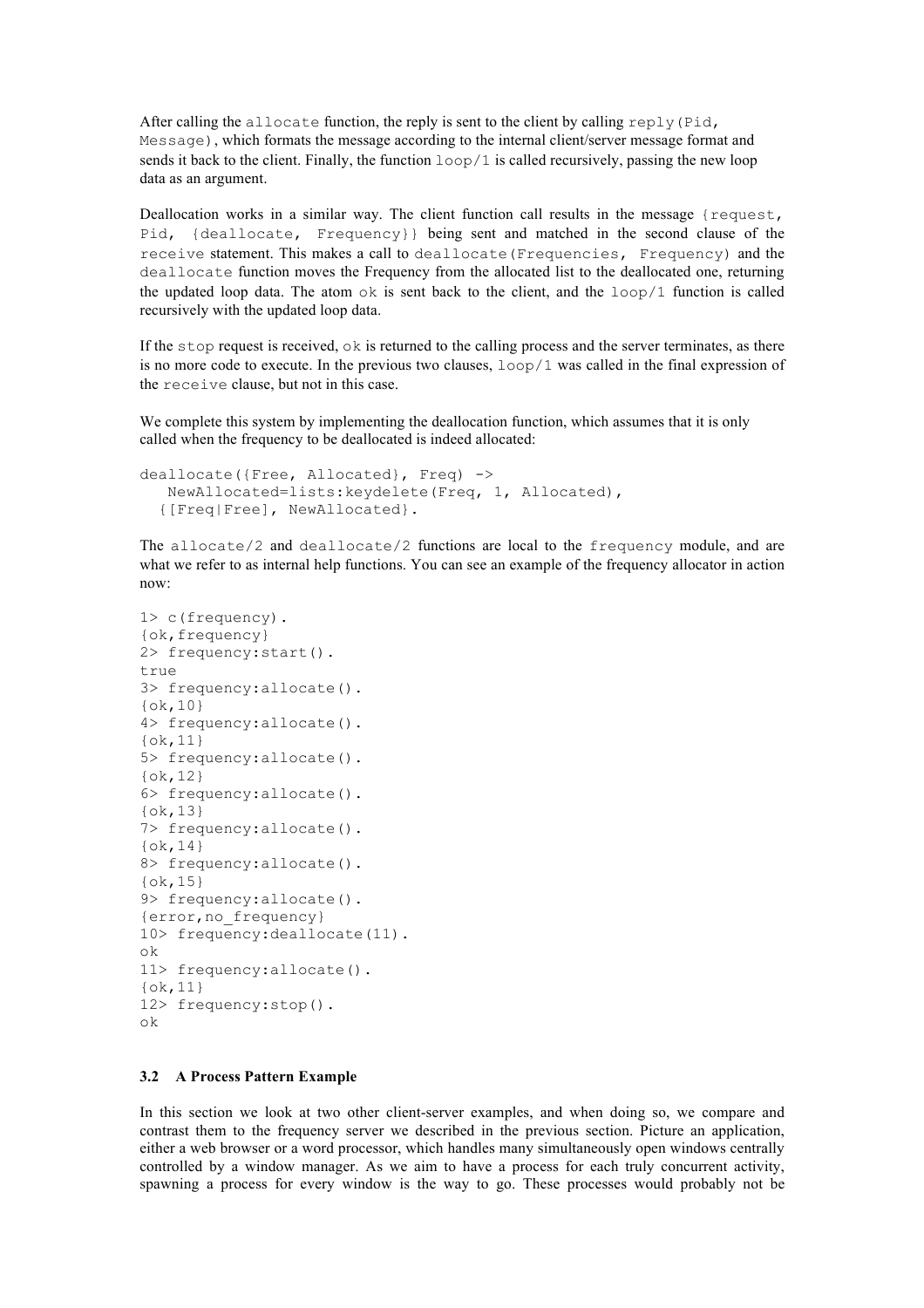After calling the allocate function, the reply is sent to the client by calling reply (Pid, Message), which formats the message according to the internal client/server message format and sends it back to the client. Finally, the function  $log/1$  is called recursively, passing the new loop data as an argument.

Deallocation works in a similar way. The client function call results in the message {request, Pid, {deallocate, Frequency}} being sent and matched in the second clause of the receive statement. This makes a call to deallocate(Frequencies, Frequency) and the deallocate function moves the Frequency from the allocated list to the deallocated one, returning the updated loop data. The atom  $\circ \mathbf{k}$  is sent back to the client, and the  $\lfloor \circ \circ \mathbf{p}/1 \rfloor$  function is called recursively with the updated loop data.

If the  $stop$  request is received,  $ok$  is returned to the calling process and the server terminates, as there is no more code to execute. In the previous two clauses,  $1 \circ op/1$  was called in the final expression of the receive clause, but not in this case.

We complete this system by implementing the deallocation function, which assumes that it is only called when the frequency to be deallocated is indeed allocated:

```
deallocate({Free, Allocated}, Freq) ->
    NewAllocated=lists:keydelete(Freq, 1, Allocated),
   {[Freq|Free], NewAllocated}.
```
The allocate/2 and deallocate/2 functions are local to the frequency module, and are what we refer to as internal help functions. You can see an example of the frequency allocator in action now:

```
1> c(frequency). 
{ok,frequency} 
2> frequency:start(). 
true 
3> frequency:allocate(). 
{ok,10} 
4> frequency:allocate(). 
{ok,11} 
5> frequency:allocate(). 
{ok,12} 
6> frequency:allocate(). 
{ok,13} 
7> frequency:allocate(). 
\{ok,14\}8> frequency:allocate(). 
\{ok, 15\}9> frequency: allocate().
{error,no_frequency} 
10> frequency:deallocate(11). 
ok 
11> frequency:allocate(). 
\{ok, 11\}12> frequency:stop(). 
ok
```
#### **3.2 A Process Pattern Example**

In this section we look at two other client-server examples, and when doing so, we compare and contrast them to the frequency server we described in the previous section. Picture an application, either a web browser or a word processor, which handles many simultaneously open windows centrally controlled by a window manager. As we aim to have a process for each truly concurrent activity, spawning a process for every window is the way to go. These processes would probably not be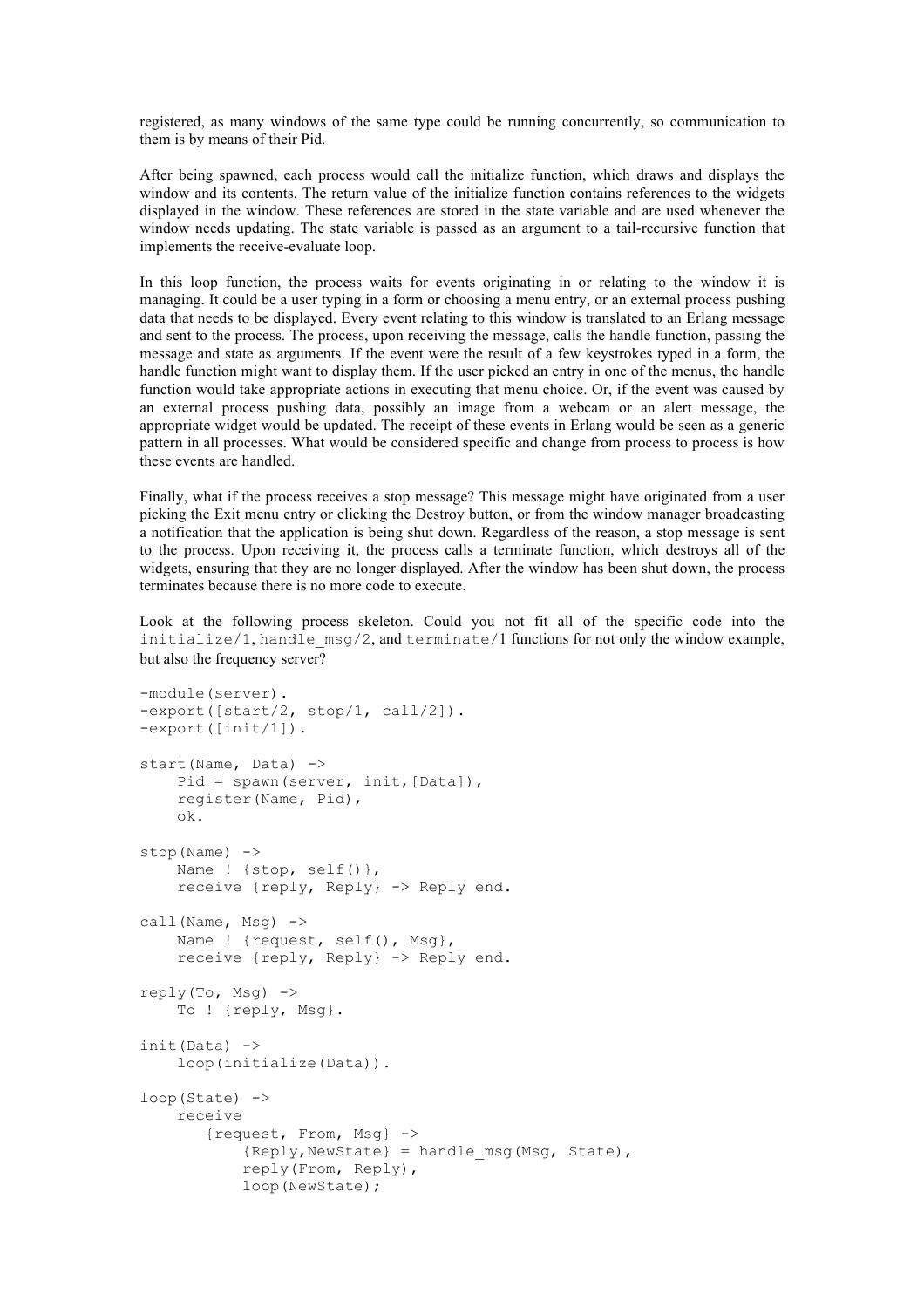registered, as many windows of the same type could be running concurrently, so communication to them is by means of their Pid.

After being spawned, each process would call the initialize function, which draws and displays the window and its contents. The return value of the initialize function contains references to the widgets displayed in the window. These references are stored in the state variable and are used whenever the window needs updating. The state variable is passed as an argument to a tail-recursive function that implements the receive-evaluate loop.

In this loop function, the process waits for events originating in or relating to the window it is managing. It could be a user typing in a form or choosing a menu entry, or an external process pushing data that needs to be displayed. Every event relating to this window is translated to an Erlang message and sent to the process. The process, upon receiving the message, calls the handle function, passing the message and state as arguments. If the event were the result of a few keystrokes typed in a form, the handle function might want to display them. If the user picked an entry in one of the menus, the handle function would take appropriate actions in executing that menu choice. Or, if the event was caused by an external process pushing data, possibly an image from a webcam or an alert message, the appropriate widget would be updated. The receipt of these events in Erlang would be seen as a generic pattern in all processes. What would be considered specific and change from process to process is how these events are handled.

Finally, what if the process receives a stop message? This message might have originated from a user picking the Exit menu entry or clicking the Destroy button, or from the window manager broadcasting a notification that the application is being shut down. Regardless of the reason, a stop message is sent to the process. Upon receiving it, the process calls a terminate function, which destroys all of the widgets, ensuring that they are no longer displayed. After the window has been shut down, the process terminates because there is no more code to execute.

Look at the following process skeleton. Could you not fit all of the specific code into the initialize/1, handle\_msg/2, and terminate/1 functions for not only the window example, but also the frequency server?

```
-module(server). 
-export([start/2, stop/1, call/2]). 
-export([init/1]). 
start(Name, Data) ->
    Pid = spawn(server, init, [Data]),
     register(Name, Pid), 
     ok. 
stop(Name) ->
    Name ! \{stop, self()\}, receive {reply, Reply} -> Reply end. 
call(Name, Msg) ->
    Name ! {request, self(), Msg},
     receive {reply, Reply} -> Reply end. 
reply(To, Msg) ->
     To ! {reply, Msg}. 
init(Data) ->
     loop(initialize(Data)). 
loop(State) ->
     receive
        {request, From, Msg} ->
            {Reply, NewState} = handle msg(Msq, State), reply(From, Reply),
            loop(NewState);
```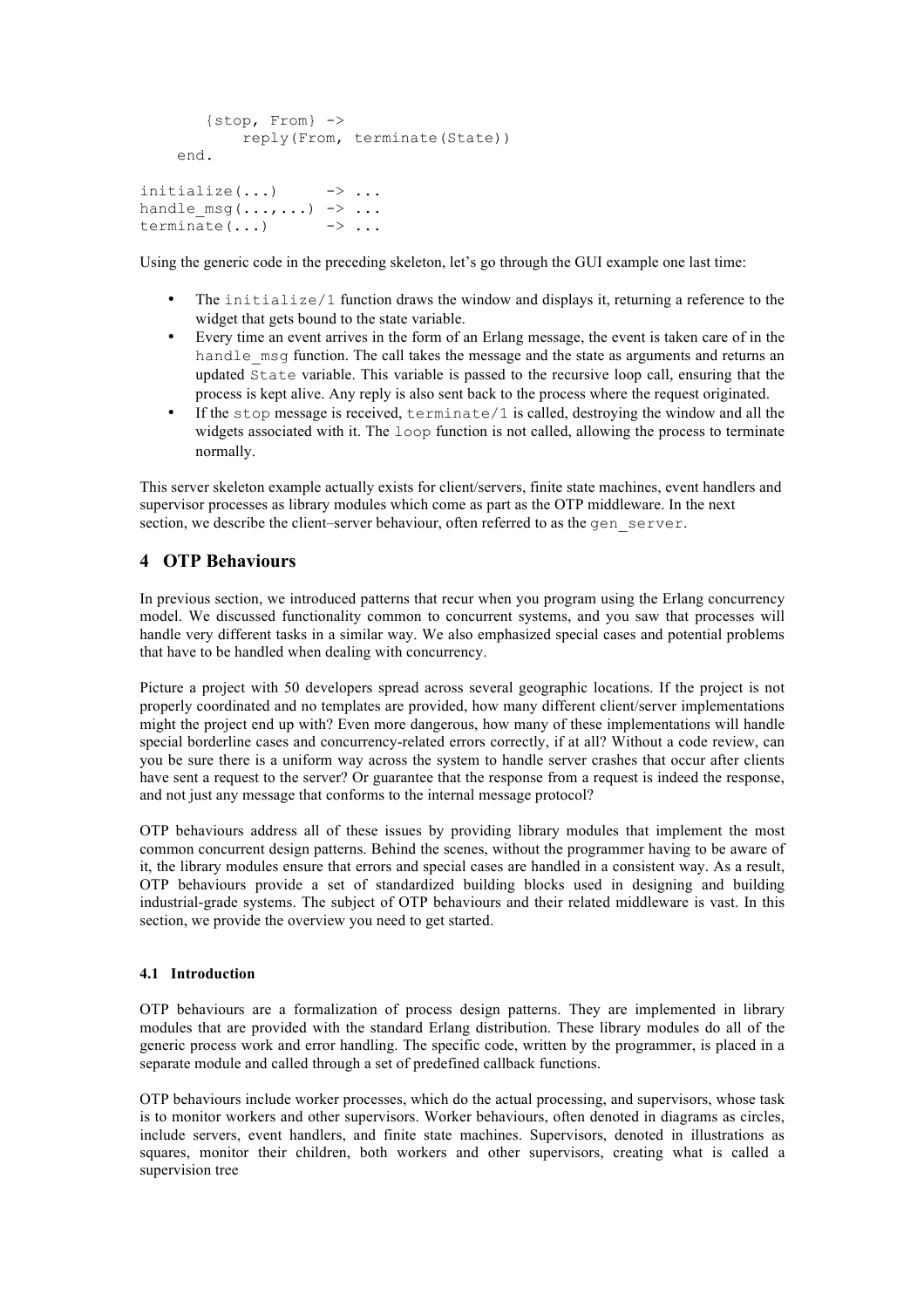```
\{stop, From\} ->
               reply(From, terminate(State))
      end. 
initialize(...) -> ...
handle msg(...,...) \rightarrow ...\overline{\text{terminate}(\dots)} \longrightarrow \dots
```
Using the generic code in the preceding skeleton, let's go through the GUI example one last time:

- The initialize/1 function draws the window and displays it, returning a reference to the widget that gets bound to the state variable.
- Every time an event arrives in the form of an Erlang message, the event is taken care of in the handle msg function. The call takes the message and the state as arguments and returns an updated State variable. This variable is passed to the recursive loop call, ensuring that the process is kept alive. Any reply is also sent back to the process where the request originated.
- If the stop message is received, terminate/1 is called, destroying the window and all the widgets associated with it. The loop function is not called, allowing the process to terminate normally.

This server skeleton example actually exists for client/servers, finite state machines, event handlers and supervisor processes as library modules which come as part as the OTP middleware. In the next section, we describe the client–server behaviour, often referred to as the gen server.

#### **4 OTP Behaviours**

In previous section, we introduced patterns that recur when you program using the Erlang concurrency model. We discussed functionality common to concurrent systems, and you saw that processes will handle very different tasks in a similar way. We also emphasized special cases and potential problems that have to be handled when dealing with concurrency.

Picture a project with 50 developers spread across several geographic locations. If the project is not properly coordinated and no templates are provided, how many different client/server implementations might the project end up with? Even more dangerous, how many of these implementations will handle special borderline cases and concurrency-related errors correctly, if at all? Without a code review, can you be sure there is a uniform way across the system to handle server crashes that occur after clients have sent a request to the server? Or guarantee that the response from a request is indeed the response, and not just any message that conforms to the internal message protocol?

OTP behaviours address all of these issues by providing library modules that implement the most common concurrent design patterns. Behind the scenes, without the programmer having to be aware of it, the library modules ensure that errors and special cases are handled in a consistent way. As a result, OTP behaviours provide a set of standardized building blocks used in designing and building industrial-grade systems. The subject of OTP behaviours and their related middleware is vast. In this section, we provide the overview you need to get started.

#### **4.1 Introduction**

OTP behaviours are a formalization of process design patterns. They are implemented in library modules that are provided with the standard Erlang distribution. These library modules do all of the generic process work and error handling. The specific code, written by the programmer, is placed in a separate module and called through a set of predefined callback functions.

OTP behaviours include worker processes, which do the actual processing, and supervisors, whose task is to monitor workers and other supervisors. Worker behaviours, often denoted in diagrams as circles, include servers, event handlers, and finite state machines. Supervisors, denoted in illustrations as squares, monitor their children, both workers and other supervisors, creating what is called a supervision tree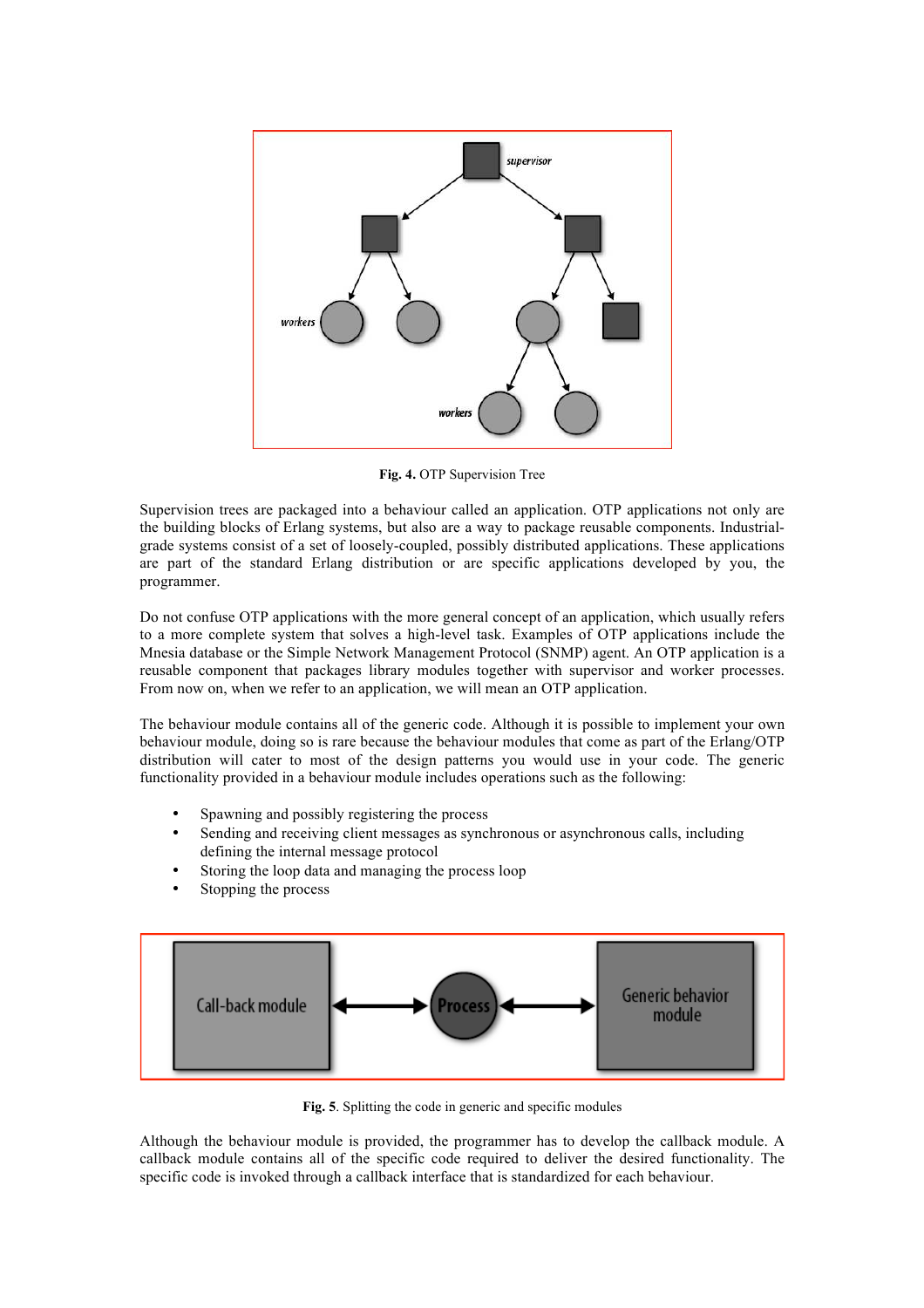

**Fig. 4.** OTP Supervision Tree

Supervision trees are packaged into a behaviour called an application. OTP applications not only are the building blocks of Erlang systems, but also are a way to package reusable components. Industrialgrade systems consist of a set of loosely-coupled, possibly distributed applications. These applications are part of the standard Erlang distribution or are specific applications developed by you, the programmer.

Do not confuse OTP applications with the more general concept of an application, which usually refers to a more complete system that solves a high-level task. Examples of OTP applications include the Mnesia database or the Simple Network Management Protocol (SNMP) agent. An OTP application is a reusable component that packages library modules together with supervisor and worker processes. From now on, when we refer to an application, we will mean an OTP application.

The behaviour module contains all of the generic code. Although it is possible to implement your own behaviour module, doing so is rare because the behaviour modules that come as part of the Erlang/OTP distribution will cater to most of the design patterns you would use in your code. The generic functionality provided in a behaviour module includes operations such as the following:

- Spawning and possibly registering the process
- Sending and receiving client messages as synchronous or asynchronous calls, including defining the internal message protocol
- Storing the loop data and managing the process loop
- Stopping the process



**Fig. 5**. Splitting the code in generic and specific modules

Although the behaviour module is provided, the programmer has to develop the callback module. A callback module contains all of the specific code required to deliver the desired functionality. The specific code is invoked through a callback interface that is standardized for each behaviour.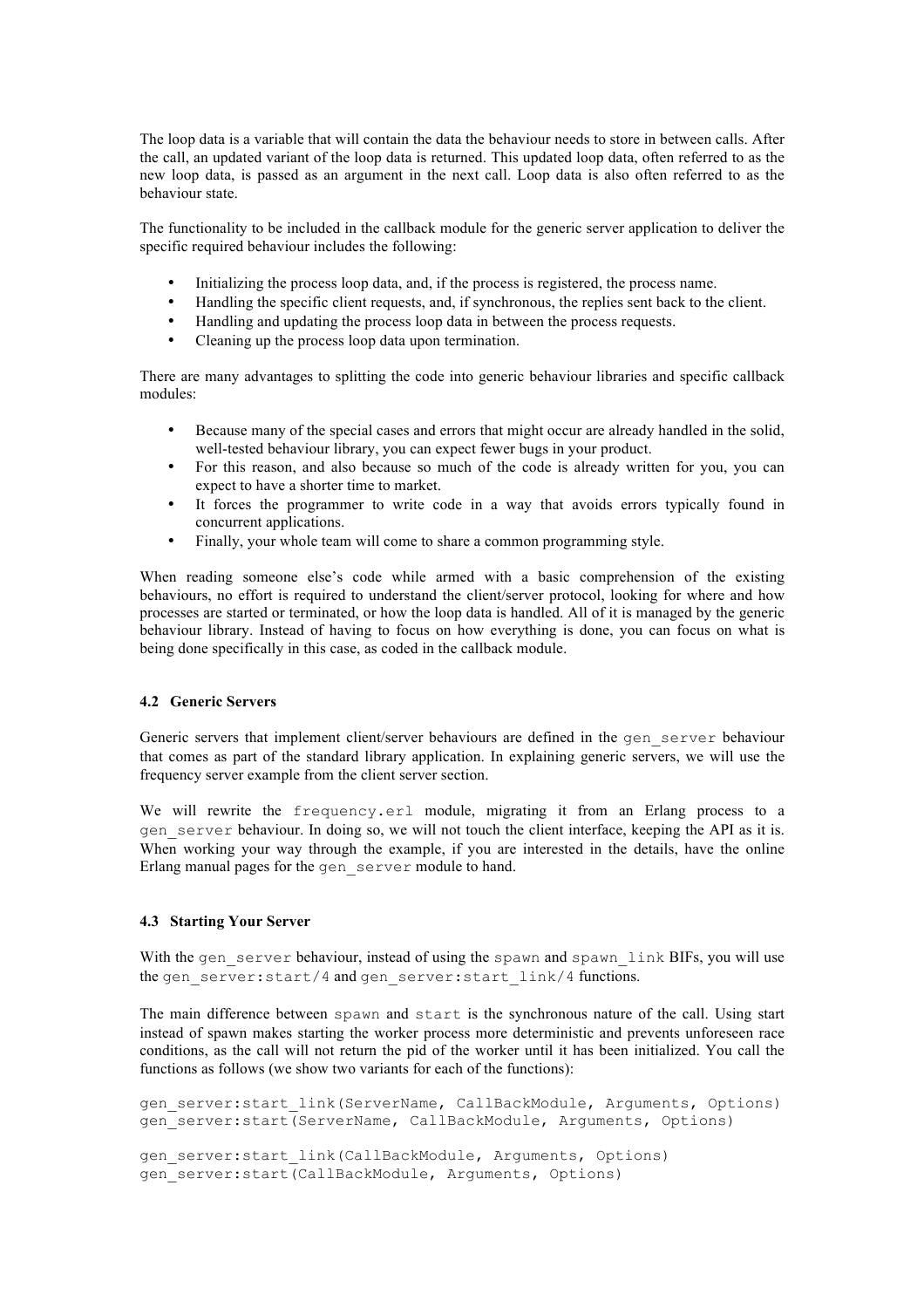The loop data is a variable that will contain the data the behaviour needs to store in between calls. After the call, an updated variant of the loop data is returned. This updated loop data, often referred to as the new loop data, is passed as an argument in the next call. Loop data is also often referred to as the behaviour state.

The functionality to be included in the callback module for the generic server application to deliver the specific required behaviour includes the following:

- Initializing the process loop data, and, if the process is registered, the process name.
- Handling the specific client requests, and, if synchronous, the replies sent back to the client.
- Handling and updating the process loop data in between the process requests.
- Cleaning up the process loop data upon termination.

There are many advantages to splitting the code into generic behaviour libraries and specific callback modules:

- Because many of the special cases and errors that might occur are already handled in the solid, well-tested behaviour library, you can expect fewer bugs in your product.
- For this reason, and also because so much of the code is already written for you, you can expect to have a shorter time to market.
- It forces the programmer to write code in a way that avoids errors typically found in concurrent applications.
- Finally, your whole team will come to share a common programming style.

When reading someone else's code while armed with a basic comprehension of the existing behaviours, no effort is required to understand the client/server protocol, looking for where and how processes are started or terminated, or how the loop data is handled. All of it is managed by the generic behaviour library. Instead of having to focus on how everything is done, you can focus on what is being done specifically in this case, as coded in the callback module.

#### **4.2 Generic Servers**

Generic servers that implement client/server behaviours are defined in the gen\_server behaviour that comes as part of the standard library application. In explaining generic servers, we will use the frequency server example from the client server section.

We will rewrite the frequency.erl module, migrating it from an Erlang process to a gen\_server behaviour. In doing so, we will not touch the client interface, keeping the API as it is. When working your way through the example, if you are interested in the details, have the online Erlang manual pages for the gen server module to hand.

#### **4.3 Starting Your Server**

With the gen server behaviour, instead of using the spawn and spawn link BIFs, you will use the gen server: start/4 and gen server: start link/4 functions.

The main difference between spawn and start is the synchronous nature of the call. Using start instead of spawn makes starting the worker process more deterministic and prevents unforeseen race conditions, as the call will not return the pid of the worker until it has been initialized. You call the functions as follows (we show two variants for each of the functions):

```
gen_server:start_link(ServerName, CallBackModule, Arguments, Options)
gen_server:start(ServerName, CallBackModule, Arguments, Options) 
gen server: start link(CallBackModule, Arguments, Options)
```

```
gen server: start(CallBackModule, Arguments, Options)
```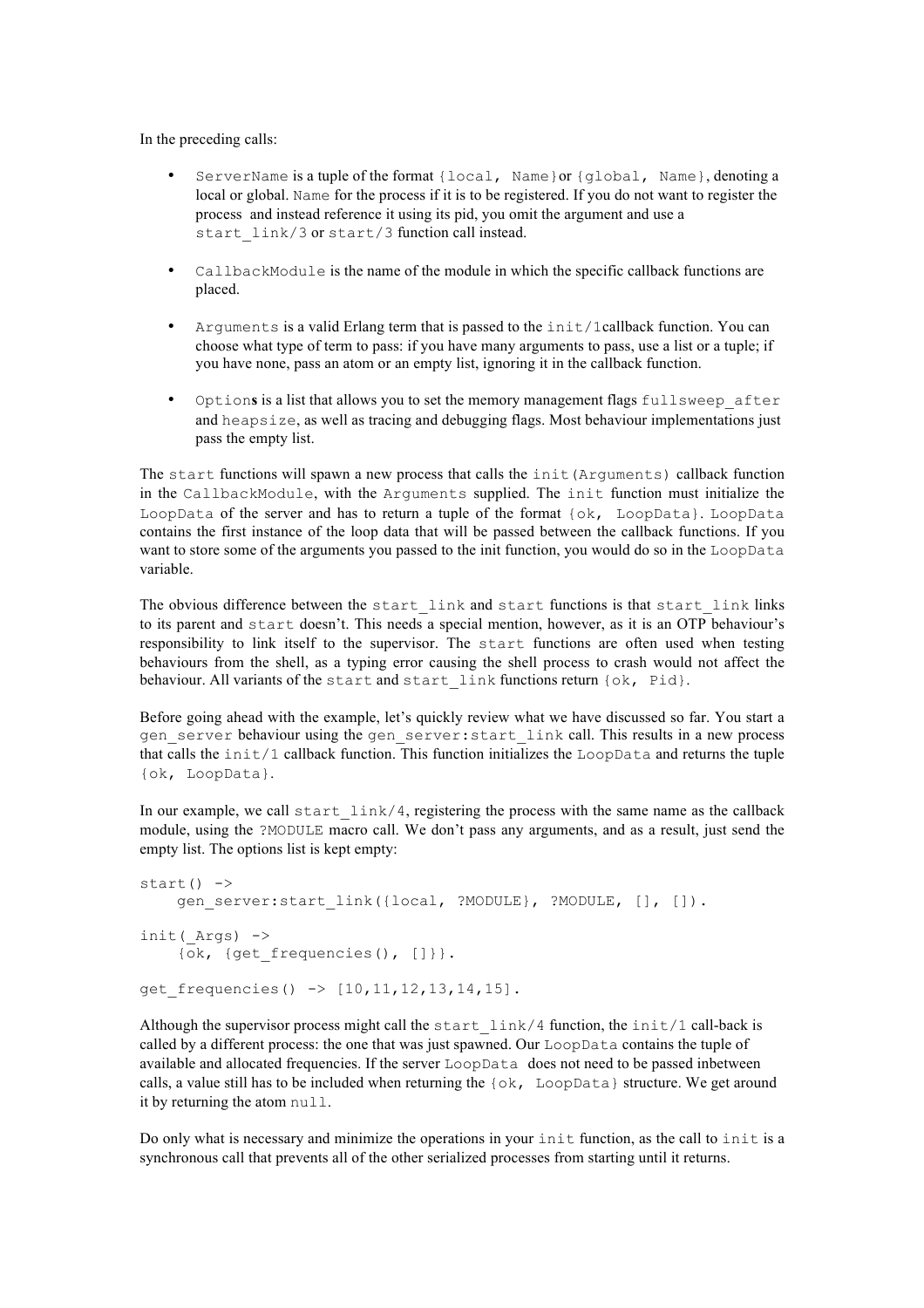In the preceding calls:

- ServerName is a tuple of the format {local, Name}or {global, Name}, denoting a local or global. Name for the process if it is to be registered. If you do not want to register the process and instead reference it using its pid, you omit the argument and use a start link/3 or start/3 function call instead.
- CallbackModule is the name of the module in which the specific callback functions are placed.
- Arguments is a valid Erlang term that is passed to the  $init/1$ callback function. You can choose what type of term to pass: if you have many arguments to pass, use a list or a tuple; if you have none, pass an atom or an empty list, ignoring it in the callback function.
- Options is a list that allows you to set the memory management flags fullsweep after and heapsize, as well as tracing and debugging flags. Most behaviour implementations just pass the empty list.

The start functions will spawn a new process that calls the init(Arguments) callback function in the CallbackModule, with the Arguments supplied. The init function must initialize the LoopData of the server and has to return a tuple of the format {ok, LoopData}. LoopData contains the first instance of the loop data that will be passed between the callback functions. If you want to store some of the arguments you passed to the init function, you would do so in the LoopData variable.

The obvious difference between the start link and start functions is that start link links to its parent and start doesn't. This needs a special mention, however, as it is an OTP behaviour's responsibility to link itself to the supervisor. The start functions are often used when testing behaviours from the shell, as a typing error causing the shell process to crash would not affect the behaviour. All variants of the start and start link functions return {ok, Pid}.

Before going ahead with the example, let's quickly review what we have discussed so far. You start a gen server behaviour using the gen server: start link call. This results in a new process that calls the  $init/1$  callback function. This function initializes the LoopData and returns the tuple {ok, LoopData}.

In our example, we call start  $link/4$ , registering the process with the same name as the callback module, using the ?MODULE macro call. We don't pass any arguments, and as a result, just send the empty list. The options list is kept empty:

```
start() ->
    gen server: start link({local, ?MODULE}, ?MODULE, [], []).
init(Args) ->
    \{ok, \{get frequencies(), []\}\}.get frequencies() -> [10,11,12,13,14,15].
```
Although the supervisor process might call the start link/4 function, the init/1 call-back is called by a different process: the one that was just spawned. Our LoopData contains the tuple of available and allocated frequencies. If the server LoopData does not need to be passed inbetween calls, a value still has to be included when returning the  $\{\circ k, \text{LoopData}\}\$  structure. We get around it by returning the atom null.

Do only what is necessary and minimize the operations in your init function, as the call to init is a synchronous call that prevents all of the other serialized processes from starting until it returns.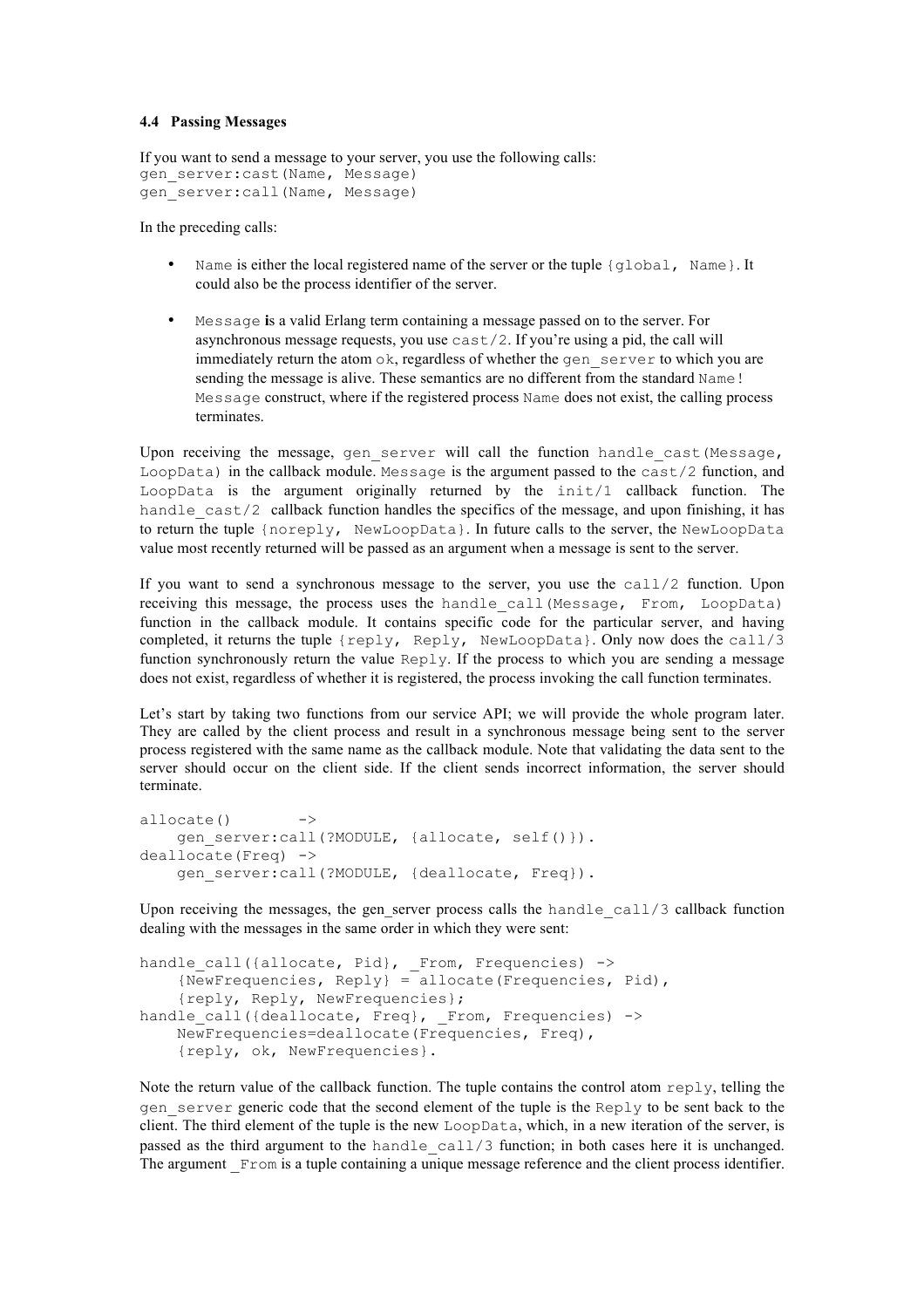#### **4.4 Passing Messages**

If you want to send a message to your server, you use the following calls: gen server: cast (Name, Message) gen\_server:call(Name, Message)

In the preceding calls:

- Name is either the local registered name of the server or the tuple {global, Name}. It could also be the process identifier of the server.
- ¥ Message **i**s a valid Erlang term containing a message passed on to the server. For asynchronous message requests, you use  $\text{cast}/2$ . If you're using a pid, the call will immediately return the atom ok, regardless of whether the gen\_server to which you are sending the message is alive. These semantics are no different from the standard Name! Message construct, where if the registered process Name does not exist, the calling process terminates.

Upon receiving the message, gen server will call the function handle cast (Message, LoopData) in the callback module. Message is the argument passed to the  $cast/2$  function, and LoopData is the argument originally returned by the init/1 callback function. The handle  $cast/2$  callback function handles the specifics of the message, and upon finishing, it has to return the tuple {noreply, NewLoopData}. In future calls to the server, the NewLoopData value most recently returned will be passed as an argument when a message is sent to the server.

If you want to send a synchronous message to the server, you use the call/2 function. Upon receiving this message, the process uses the handle\_call(Message, From, LoopData) function in the callback module. It contains specific code for the particular server, and having completed, it returns the tuple  $\{reply, \text{Reply}, \text{NewLoopData}\}$ . Only now does the call/3 function synchronously return the value Reply. If the process to which you are sending a message does not exist, regardless of whether it is registered, the process invoking the call function terminates.

Let's start by taking two functions from our service API; we will provide the whole program later. They are called by the client process and result in a synchronous message being sent to the server process registered with the same name as the callback module. Note that validating the data sent to the server should occur on the client side. If the client sends incorrect information, the server should terminate.

```
allocate() -> 
   gen server:call(?MODULE, {allocate, self()}).
deallocate(Freq) -> 
   gen server:call(?MODULE, {deallocate, Freq}).
```
Upon receiving the messages, the gen\_server process calls the handle call/3 callback function dealing with the messages in the same order in which they were sent:

```
handle call({allocate, Pid}, From, Frequencies) \rightarrow{NewFrequency}, Reply} =allocate(Frequencies, Pid),
     {reply, Reply, NewFrequencies};
handle call({deallocate, Freq}, From, Frequencies) ->
    NewFrequencies=deallocate(Frequencies, Freq),
     {reply, ok, NewFrequencies}.
```
Note the return value of the callback function. The tuple contains the control atom reply, telling the gen\_server generic code that the second element of the tuple is the Reply to be sent back to the client. The third element of the tuple is the new LoopData, which, in a new iteration of the server, is passed as the third argument to the handle\_call/3 function; in both cases here it is unchanged. The argument From is a tuple containing a unique message reference and the client process identifier.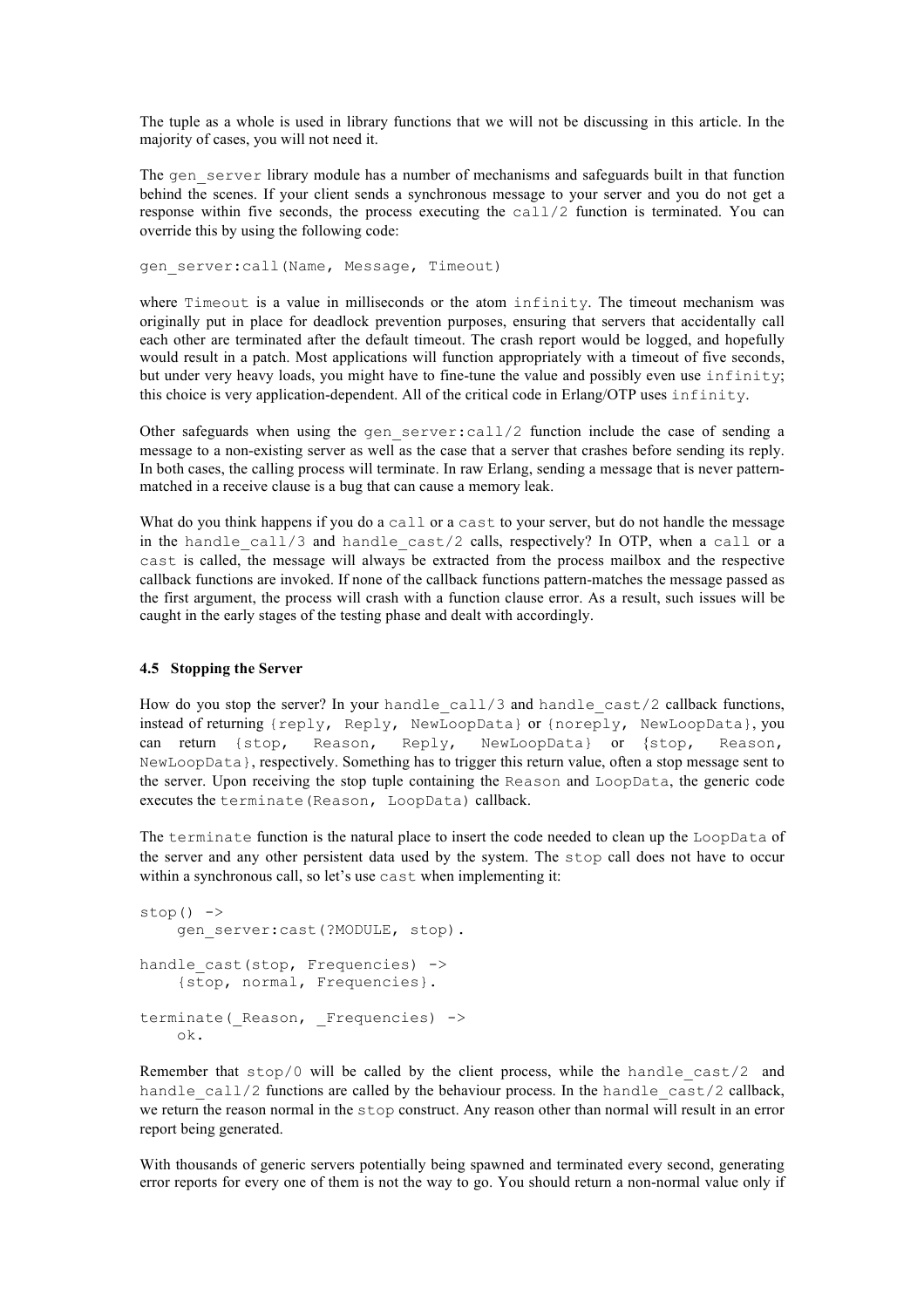The tuple as a whole is used in library functions that we will not be discussing in this article. In the majority of cases, you will not need it.

The gen server library module has a number of mechanisms and safeguards built in that function behind the scenes. If your client sends a synchronous message to your server and you do not get a response within five seconds, the process executing the call/2 function is terminated. You can override this by using the following code:

gen server:call(Name, Message, Timeout)

where Timeout is a value in milliseconds or the atom infinity. The timeout mechanism was originally put in place for deadlock prevention purposes, ensuring that servers that accidentally call each other are terminated after the default timeout. The crash report would be logged, and hopefully would result in a patch. Most applications will function appropriately with a timeout of five seconds, but under very heavy loads, you might have to fine-tune the value and possibly even use infinity; this choice is very application-dependent. All of the critical code in Erlang/OTP uses infinity.

Other safeguards when using the gen server:call/2 function include the case of sending a message to a non-existing server as well as the case that a server that crashes before sending its reply. In both cases, the calling process will terminate. In raw Erlang, sending a message that is never patternmatched in a receive clause is a bug that can cause a memory leak.

What do you think happens if you do a call or a cast to your server, but do not handle the message in the handle call/3 and handle cast/2 calls, respectively? In OTP, when a call or a cast is called, the message will always be extracted from the process mailbox and the respective callback functions are invoked. If none of the callback functions pattern-matches the message passed as the first argument, the process will crash with a function clause error. As a result, such issues will be caught in the early stages of the testing phase and dealt with accordingly.

#### **4.5 Stopping the Server**

How do you stop the server? In your handle call/3 and handle cast/2 callback functions, instead of returning {reply, Reply, NewLoopData} or {noreply, NewLoopData}, you can return {stop, Reason, Reply, NewLoopData} or {stop, Reason, NewLoopData}, respectively. Something has to trigger this return value, often a stop message sent to the server. Upon receiving the stop tuple containing the Reason and LoopData, the generic code executes the terminate(Reason, LoopData) callback.

The terminate function is the natural place to insert the code needed to clean up the LoopData of the server and any other persistent data used by the system. The stop call does not have to occur within a synchronous call, so let's use cast when implementing it:

```
stop() ->
    gen server: cast(?MODULE, stop).
handle cast(stop, Frequencies) ->
     {stop, normal, Frequencies}.
terminate( Reason, Frequencies) ->
     ok.
```
Remember that  $stop/0$  will be called by the client process, while the handle  $cast/2$  and handle call/2 functions are called by the behaviour process. In the handle cast/2 callback, we return the reason normal in the stop construct. Any reason other than normal will result in an error report being generated.

With thousands of generic servers potentially being spawned and terminated every second, generating error reports for every one of them is not the way to go. You should return a non-normal value only if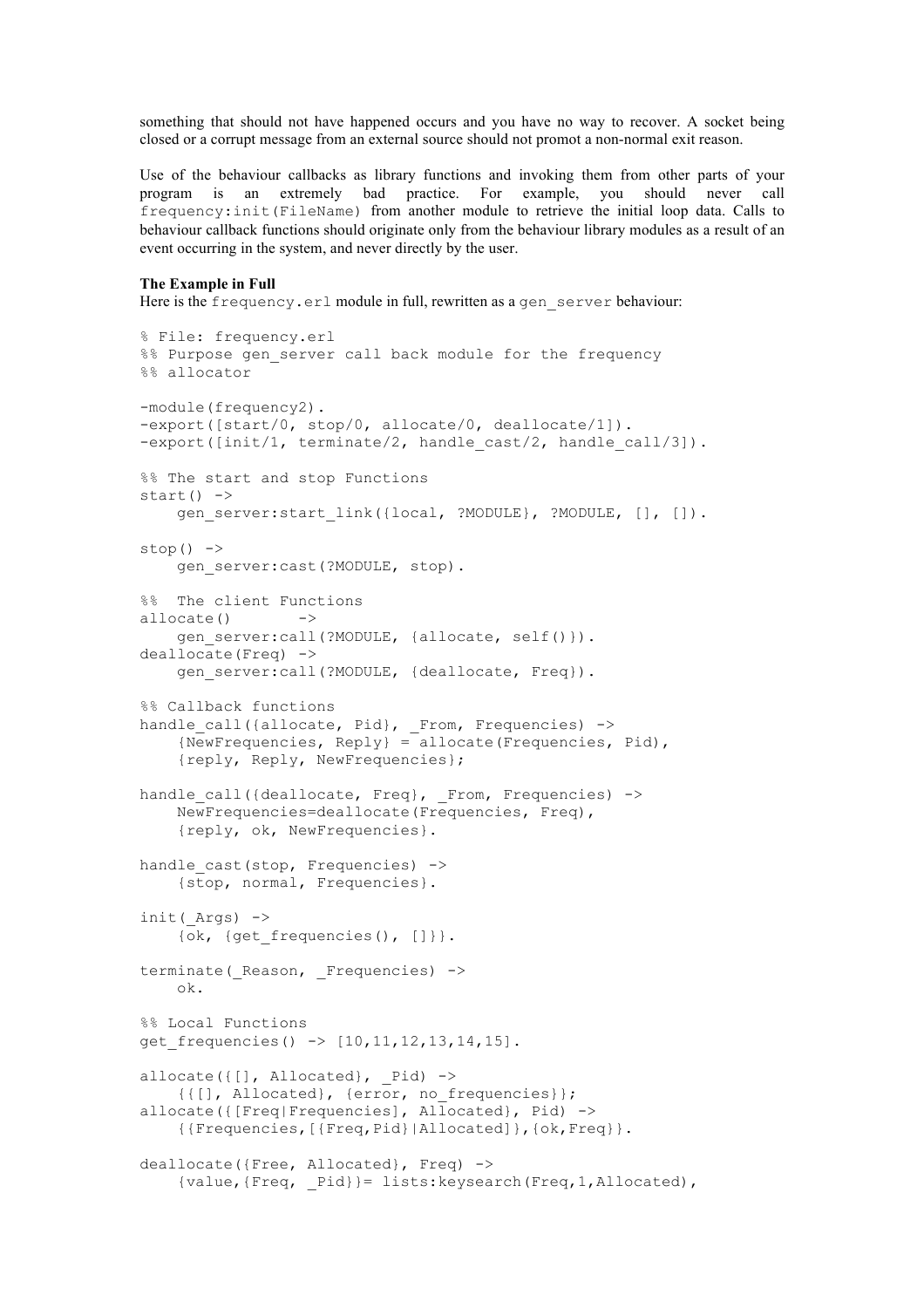something that should not have happened occurs and you have no way to recover. A socket being closed or a corrupt message from an external source should not promot a non-normal exit reason.

Use of the behaviour callbacks as library functions and invoking them from other parts of your program is an extremely bad practice. For example, you should never call frequency:init(FileName) from another module to retrieve the initial loop data. Calls to behaviour callback functions should originate only from the behaviour library modules as a result of an event occurring in the system, and never directly by the user.

#### **The Example in Full**

Here is the frequency.erl module in full, rewritten as a gen server behaviour:

```
% File: frequency.erl
%% Purpose gen server call back module for the frequency
%% allocator
-module(frequency2).
-export([start/0, stop/0, allocate/0, deallocate/1]).
-export([init/1, terminate/2, handle cast/2, handle call/3]).
%% The start and stop Functions
start() ->
    gen_server:start_link({local, ?MODULE}, ?MODULE, [], []).
stop() ->
    gen server: cast(?MODULE, stop).
%% The client Functions
allocate() -> 
    gen server:call(?MODULE, {allocate, self()}).
deallocate(Freq) -> 
    gen server:call(?MODULE, {deallocate, Freq}).
%% Callback functions
handle_call({allocate, Pid}, _From, Frequencies) ->
 {NewFrequencies, Reply} = allocate(Frequencies, Pid),
     {reply, Reply, NewFrequencies};
handle call({deallocate, Freq}, From, Frequencies) ->
     NewFrequencies=deallocate(Frequencies, Freq),
     {reply, ok, NewFrequencies}.
handle cast(stop, Frequencies) \rightarrow {stop, normal, Frequencies}.
init(Args) ->
    \{ok, \{get frequencies(), []\}\}.terminate(Reason, Frequencies) ->
     ok.
%% Local Functions
get frequencies() \rightarrow [10,11,12,13,14,15].
allocate({[], Allocated}, Pid) ->
     {{[], Allocated}, {error, no_frequencies}};
allocate({[Freq|Frequencies], Allocated}, Pid) ->
     {{Frequencies,[{Freq,Pid}|Allocated]},{ok,Freq}}.
deallocate({Free, Allocated}, Freq) ->
     {value,{Freq, _Pid}}= lists:keysearch(Freq,1,Allocated),
```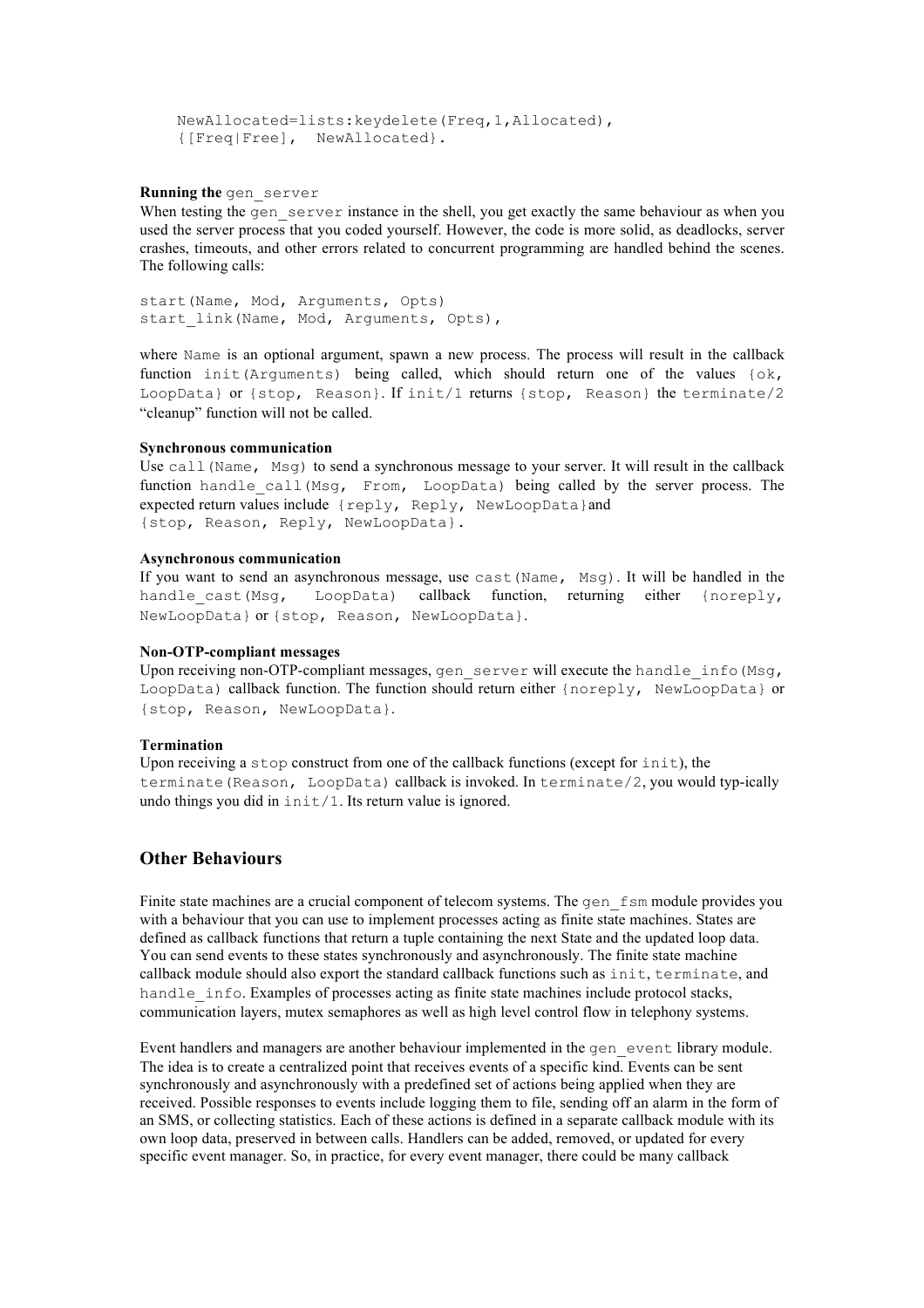```
 NewAllocated=lists:keydelete(Freq,1,Allocated),
 {[Freq|Free], NewAllocated}.
```
#### **Running the** gen\_server

When testing the gen server instance in the shell, you get exactly the same behaviour as when you used the server process that you coded yourself. However, the code is more solid, as deadlocks, server crashes, timeouts, and other errors related to concurrent programming are handled behind the scenes. The following calls:

start(Name, Mod, Arguments, Opts) start link(Name, Mod, Arguments, Opts),

where Name is an optional argument, spawn a new process. The process will result in the callback function init(Arguments) being called, which should return one of the values {ok, LoopData} or {stop, Reason}. If init/1 returns {stop, Reason} the terminate/2 "cleanup" function will not be called.

#### **Synchronous communication**

Use call(Name, Msg) to send a synchronous message to your server. It will result in the callback function handle call(Msg, From, LoopData) being called by the server process. The expected return values include {reply, Reply, NewLoopData}and {stop, Reason, Reply, NewLoopData}.

#### **Asynchronous communication**

If you want to send an asynchronous message, use cast(Name, Msg). It will be handled in the handle cast(Msg, LoopData) callback function, returning either {noreply, NewLoopData} or {stop, Reason, NewLoopData}.

#### **Non-OTP-compliant messages**

Upon receiving non-OTP-compliant messages, gen server will execute the handle info (Msg, LoopData) callback function. The function should return either {noreply, NewLoopData} or {stop, Reason, NewLoopData}.

#### **Termination**

Upon receiving a stop construct from one of the callback functions (except for init), the terminate(Reason, LoopData) callback is invoked. In terminate/2, you would typ-ically undo things you did in init/1. Its return value is ignored.

#### **Other Behaviours**

Finite state machines are a crucial component of telecom systems. The gen fsm module provides you with a behaviour that you can use to implement processes acting as finite state machines. States are defined as callback functions that return a tuple containing the next State and the updated loop data. You can send events to these states synchronously and asynchronously. The finite state machine callback module should also export the standard callback functions such as init, terminate, and handle info. Examples of processes acting as finite state machines include protocol stacks, communication layers, mutex semaphores as well as high level control flow in telephony systems.

Event handlers and managers are another behaviour implemented in the gen event library module. The idea is to create a centralized point that receives events of a specific kind. Events can be sent synchronously and asynchronously with a predefined set of actions being applied when they are received. Possible responses to events include logging them to file, sending off an alarm in the form of an SMS, or collecting statistics. Each of these actions is defined in a separate callback module with its own loop data, preserved in between calls. Handlers can be added, removed, or updated for every specific event manager. So, in practice, for every event manager, there could be many callback